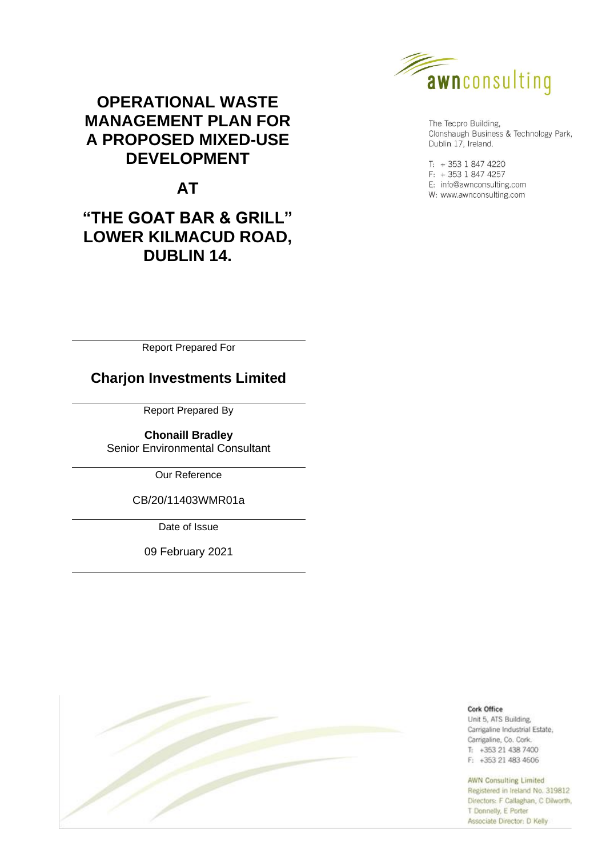

The Tecpro Building, Clonshaugh Business & Technology Park, Dublin 17, Ireland.

 $T: +35318474220$  $F: +35318474257$ E: info@awnconsulting.com W: www.awnconsulting.com

## **OPERATIONAL WASTE MANAGEMENT PLAN FOR A PROPOSED MIXED-USE DEVELOPMENT**

# **AT**

## **"THE GOAT BAR & GRILL" LOWER KILMACUD ROAD, DUBLIN 14.**

Report Prepared For

**Charjon Investments Limited**

Report Prepared By

**Chonaill Bradley** Senior Environmental Consultant

Our Reference

CB/20/11403WMR01a

Date of Issue

09 February 2021



Cork Office Unit 5, ATS Building, Carrigaline Industrial Estate, Carrigaline, Co. Cork.  $T_1$  +353 21 438 7400 F: +353 21 483 4606

#### **AWN Consulting Limited**

Registered in Ireland No. 319812 Directors: F Callaghan, C Dilworth, T Donnelly, E Porter Associate Director: D Kelly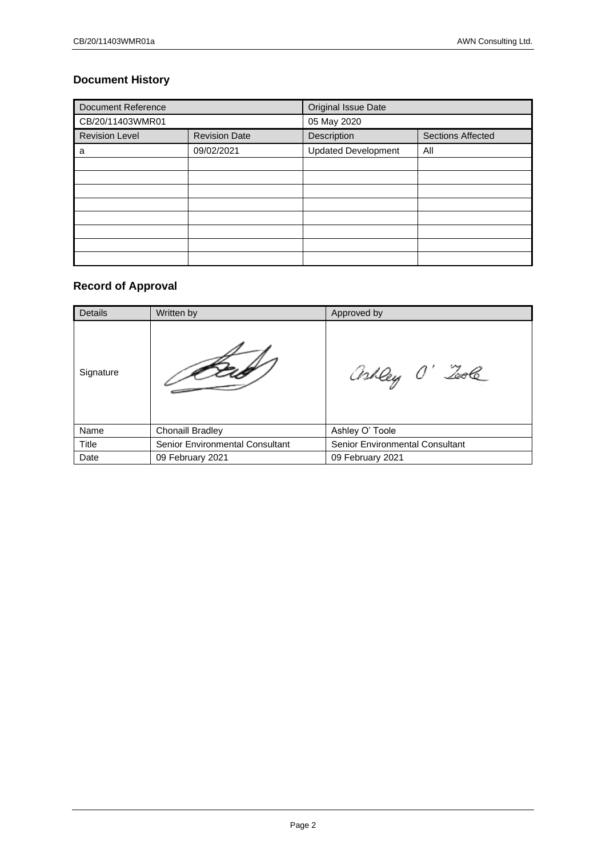## **Document History**

| <b>Document Reference</b> |                      | Original Issue Date                     |     |  |
|---------------------------|----------------------|-----------------------------------------|-----|--|
| CB/20/11403WMR01          |                      | 05 May 2020                             |     |  |
| <b>Revision Level</b>     | <b>Revision Date</b> | Description<br><b>Sections Affected</b> |     |  |
| a                         | 09/02/2021           | <b>Updated Development</b>              | All |  |
|                           |                      |                                         |     |  |
|                           |                      |                                         |     |  |
|                           |                      |                                         |     |  |
|                           |                      |                                         |     |  |
|                           |                      |                                         |     |  |
|                           |                      |                                         |     |  |
|                           |                      |                                         |     |  |
|                           |                      |                                         |     |  |

## **Record of Approval**

| Details   | Written by                             | Approved by                     |
|-----------|----------------------------------------|---------------------------------|
| Signature |                                        | askley O' Tool                  |
| Name      | <b>Chonaill Bradley</b>                | Ashley O' Toole                 |
| Title     | <b>Senior Environmental Consultant</b> | Senior Environmental Consultant |
| Date      | 09 February 2021                       | 09 February 2021                |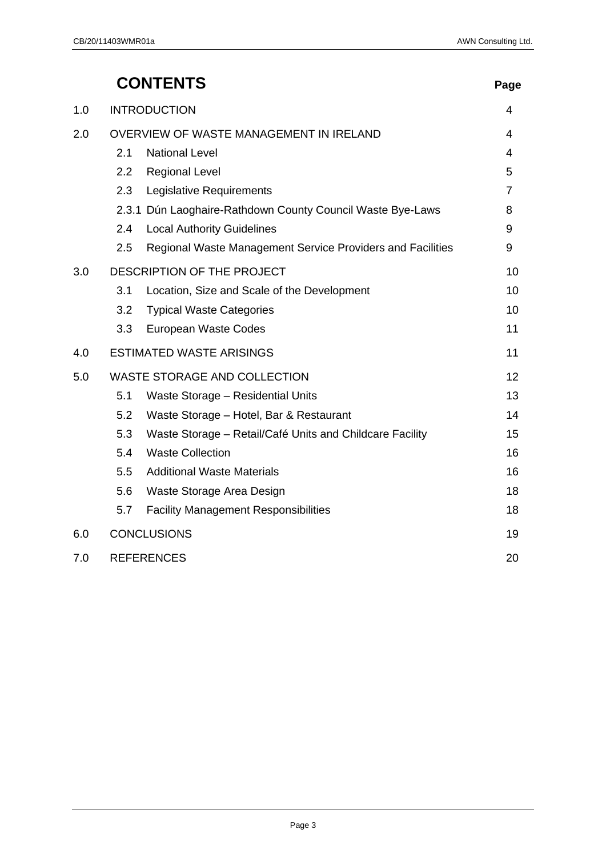|     |     | <b>CONTENTS</b>                                            | Page           |
|-----|-----|------------------------------------------------------------|----------------|
| 1.0 |     | <b>INTRODUCTION</b>                                        | 4              |
| 2.0 |     | OVERVIEW OF WASTE MANAGEMENT IN IRELAND                    | 4              |
|     | 2.1 | <b>National Level</b>                                      | 4              |
|     | 2.2 | <b>Regional Level</b>                                      | 5              |
|     | 2.3 | Legislative Requirements                                   | $\overline{7}$ |
|     |     | 2.3.1 Dún Laoghaire-Rathdown County Council Waste Bye-Laws | 8              |
|     | 2.4 | <b>Local Authority Guidelines</b>                          | 9              |
|     | 2.5 | Regional Waste Management Service Providers and Facilities | 9              |
| 3.0 |     | DESCRIPTION OF THE PROJECT                                 | 10             |
|     | 3.1 | Location, Size and Scale of the Development                | 10             |
|     | 3.2 | <b>Typical Waste Categories</b>                            | 10             |
|     | 3.3 | European Waste Codes                                       | 11             |
| 4.0 |     | <b>ESTIMATED WASTE ARISINGS</b>                            | 11             |
| 5.0 |     | <b>WASTE STORAGE AND COLLECTION</b>                        | 12             |
|     | 5.1 | Waste Storage - Residential Units                          | 13             |
|     | 5.2 | Waste Storage - Hotel, Bar & Restaurant                    | 14             |
|     | 5.3 | Waste Storage - Retail/Café Units and Childcare Facility   | 15             |
|     | 5.4 | <b>Waste Collection</b>                                    | 16             |
|     | 5.5 | <b>Additional Waste Materials</b>                          | 16             |
|     | 5.6 | Waste Storage Area Design                                  | 18             |
|     | 5.7 | <b>Facility Management Responsibilities</b>                | 18             |
| 6.0 |     | <b>CONCLUSIONS</b>                                         | 19             |
| 7.0 |     | <b>REFERENCES</b>                                          | 20             |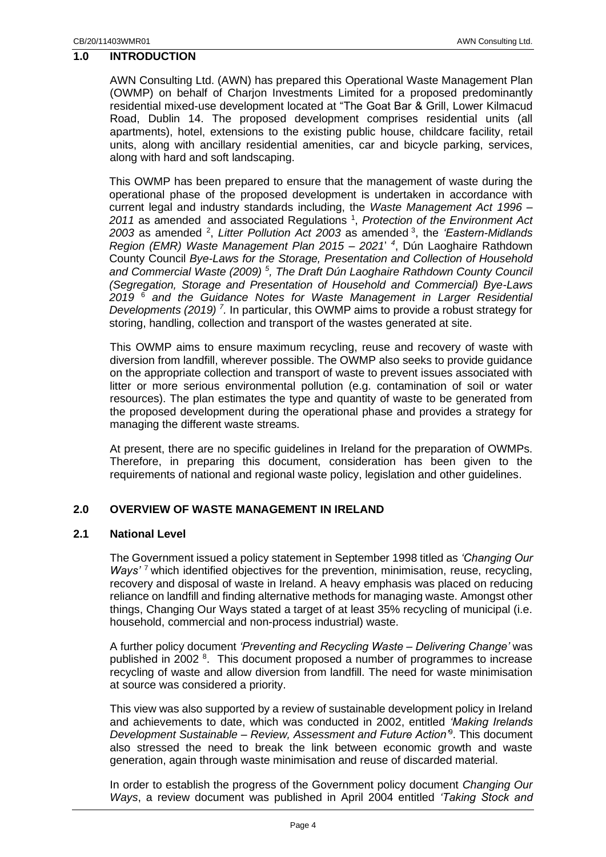## <span id="page-3-0"></span>**1.0 INTRODUCTION**

AWN Consulting Ltd. (AWN) has prepared this Operational Waste Management Plan (OWMP) on behalf of Charjon Investments Limited for a proposed predominantly residential mixed-use development located at "The Goat Bar & Grill, Lower Kilmacud Road, Dublin 14. The proposed development comprises residential units (all apartments), hotel, extensions to the existing public house, childcare facility, retail units, along with ancillary residential amenities, car and bicycle parking, services, along with hard and soft landscaping.

This OWMP has been prepared to ensure that the management of waste during the operational phase of the proposed development is undertaken in accordance with current legal and industry standards including, the *Waste Management Act 1996 –* 2011 as amended and associated Regulations<sup>1</sup>, Protection of the Environment Act *2003* as amended <sup>2</sup> , *Litter Pollution Act 2003* as amended <sup>3</sup> , the *'Eastern-Midlands Region (EMR) Waste Management Plan 2015 – 2021*' *4* , Dún Laoghaire Rathdown County Council *Bye-Laws for the Storage, Presentation and Collection of Household and Commercial Waste (2009) <sup>5</sup> , The Draft Dún Laoghaire Rathdown County Council (Segregation, Storage and Presentation of Household and Commercial) Bye-Laws 2019* <sup>6</sup> *and the Guidance Notes for Waste Management in Larger Residential Developments (2019) <sup>7</sup> .* In particular, this OWMP aims to provide a robust strategy for storing, handling, collection and transport of the wastes generated at site.

This OWMP aims to ensure maximum recycling, reuse and recovery of waste with diversion from landfill, wherever possible. The OWMP also seeks to provide guidance on the appropriate collection and transport of waste to prevent issues associated with litter or more serious environmental pollution (e.g. contamination of soil or water resources). The plan estimates the type and quantity of waste to be generated from the proposed development during the operational phase and provides a strategy for managing the different waste streams.

At present, there are no specific guidelines in Ireland for the preparation of OWMPs. Therefore, in preparing this document, consideration has been given to the requirements of national and regional waste policy, legislation and other guidelines.

#### <span id="page-3-1"></span>**2.0 OVERVIEW OF WASTE MANAGEMENT IN IRELAND**

#### <span id="page-3-2"></span>**2.1 National Level**

The Government issued a policy statement in September 1998 titled as *'Changing Our Ways'* <sup>7</sup> which identified objectives for the prevention, minimisation, reuse, recycling, recovery and disposal of waste in Ireland. A heavy emphasis was placed on reducing reliance on landfill and finding alternative methods for managing waste. Amongst other things, Changing Our Ways stated a target of at least 35% recycling of municipal (i.e. household, commercial and non-process industrial) waste.

A further policy document *'Preventing and Recycling Waste – Delivering Change'* was published in 2002<sup>8</sup>. This document proposed a number of programmes to increase recycling of waste and allow diversion from landfill. The need for waste minimisation at source was considered a priority.

This view was also supported by a review of sustainable development policy in Ireland and achievements to date, which was conducted in 2002, entitled *'Making Irelands Development Sustainable – Review, Assessment and Future Action'*<sup>9</sup> . This document also stressed the need to break the link between economic growth and waste generation, again through waste minimisation and reuse of discarded material.

In order to establish the progress of the Government policy document *Changing Our Ways*, a review document was published in April 2004 entitled *'Taking Stock and*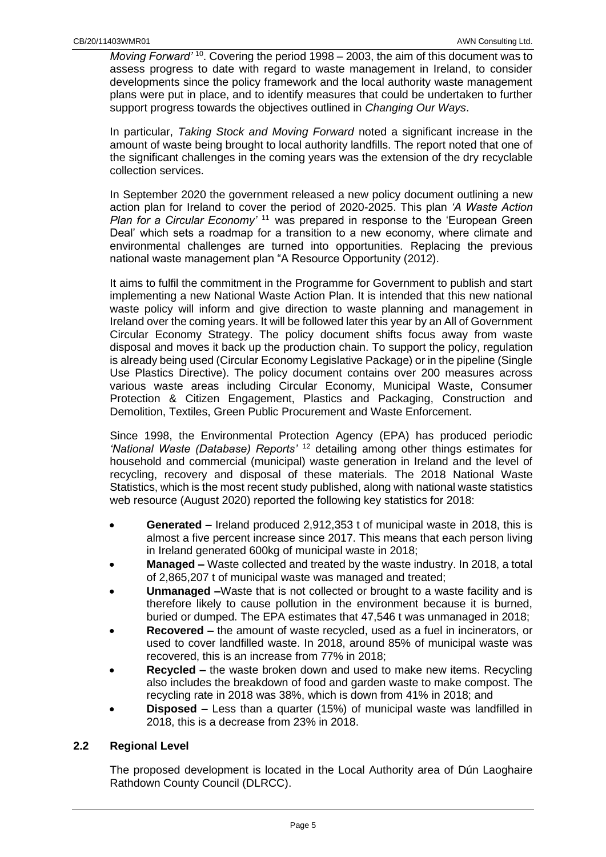*Moving Forward'* <sup>10</sup>. Covering the period 1998 – 2003, the aim of this document was to assess progress to date with regard to waste management in Ireland, to consider developments since the policy framework and the local authority waste management plans were put in place, and to identify measures that could be undertaken to further support progress towards the objectives outlined in *Changing Our Ways*.

In particular, *Taking Stock and Moving Forward* noted a significant increase in the amount of waste being brought to local authority landfills. The report noted that one of the significant challenges in the coming years was the extension of the dry recyclable collection services.

In September 2020 the government released a new policy document outlining a new action plan for Ireland to cover the period of 2020-2025. This plan *'A Waste Action Plan for a Circular Economy'* <sup>11</sup> was prepared in response to the 'European Green Deal' which sets a roadmap for a transition to a new economy, where climate and environmental challenges are turned into opportunities. Replacing the previous national waste management plan "A Resource Opportunity (2012).

It aims to fulfil the commitment in the Programme for Government to publish and start implementing a new National Waste Action Plan. It is intended that this new national waste policy will inform and give direction to waste planning and management in Ireland over the coming years. It will be followed later this year by an All of Government Circular Economy Strategy. The policy document shifts focus away from waste disposal and moves it back up the production chain. To support the policy, regulation is already being used (Circular Economy Legislative Package) or in the pipeline (Single Use Plastics Directive). The policy document contains over 200 measures across various waste areas including Circular Economy, Municipal Waste, Consumer Protection & Citizen Engagement, Plastics and Packaging, Construction and Demolition, Textiles, Green Public Procurement and Waste Enforcement.

Since 1998, the Environmental Protection Agency (EPA) has produced periodic *'National Waste (Database) Reports'* <sup>12</sup> detailing among other things estimates for household and commercial (municipal) waste generation in Ireland and the level of recycling, recovery and disposal of these materials. The 2018 National Waste Statistics, which is the most recent study published, along with national waste statistics web resource (August 2020) reported the following key statistics for 2018:

- **Generated –** Ireland produced 2,912,353 t of municipal waste in 2018, this is almost a five percent increase since 2017. This means that each person living in Ireland generated 600kg of municipal waste in 2018;
- **Managed –** Waste collected and treated by the waste industry. In 2018, a total of 2,865,207 t of municipal waste was managed and treated;
- **Unmanaged –**Waste that is not collected or brought to a waste facility and is therefore likely to cause pollution in the environment because it is burned, buried or dumped. The EPA estimates that 47,546 t was unmanaged in 2018;
- **Recovered –** the amount of waste recycled, used as a fuel in incinerators, or used to cover landfilled waste. In 2018, around 85% of municipal waste was recovered, this is an increase from 77% in 2018;
- **Recycled –** the waste broken down and used to make new items. Recycling also includes the breakdown of food and garden waste to make compost. The recycling rate in 2018 was 38%, which is down from 41% in 2018; and
- **Disposed –** Less than a quarter (15%) of municipal waste was landfilled in 2018, this is a decrease from 23% in 2018.

## <span id="page-4-0"></span>**2.2 Regional Level**

The proposed development is located in the Local Authority area of Dún Laoghaire Rathdown County Council (DLRCC).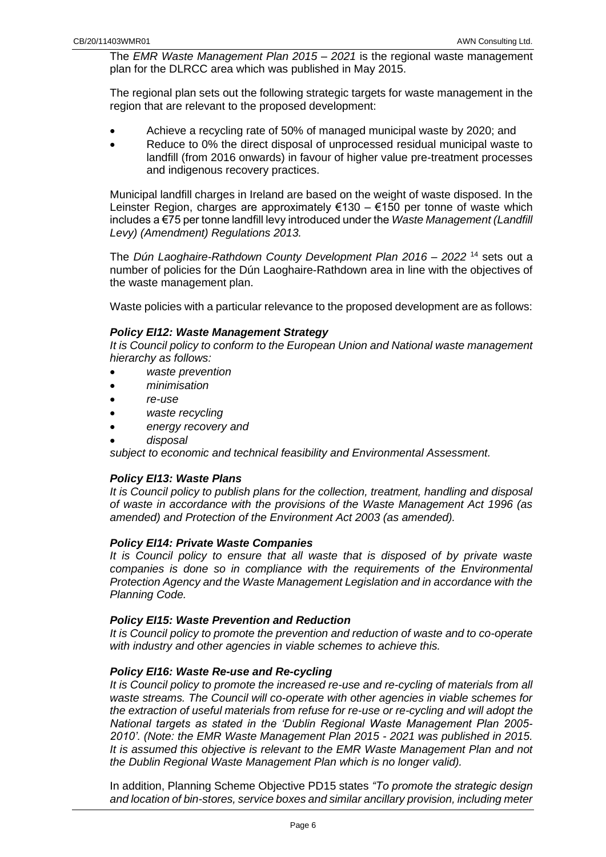The *EMR Waste Management Plan 2015 – 2021* is the regional waste management plan for the DLRCC area which was published in May 2015.

The regional plan sets out the following strategic targets for waste management in the region that are relevant to the proposed development:

- Achieve a recycling rate of 50% of managed municipal waste by 2020; and
- Reduce to 0% the direct disposal of unprocessed residual municipal waste to landfill (from 2016 onwards) in favour of higher value pre-treatment processes and indigenous recovery practices.

Municipal landfill charges in Ireland are based on the weight of waste disposed. In the Leinster Region, charges are approximately €130 – €150 per tonne of waste which includes a €75 per tonne landfill levy introduced under the *Waste Management (Landfill Levy) (Amendment) Regulations 2013.*

The *Dún Laoghaire-Rathdown County Development Plan 2016 – 2022* <sup>14</sup> sets out a number of policies for the Dún Laoghaire-Rathdown area in line with the objectives of the waste management plan.

Waste policies with a particular relevance to the proposed development are as follows:

## *Policy EI12: Waste Management Strategy*

*It is Council policy to conform to the European Union and National waste management hierarchy as follows:*

- *waste prevention*
- *minimisation*
- *re-use*
- *waste recycling*
- *energy recovery and*
- *disposal*

*subject to economic and technical feasibility and Environmental Assessment.*

## *Policy EI13: Waste Plans*

*It is Council policy to publish plans for the collection, treatment, handling and disposal of waste in accordance with the provisions of the Waste Management Act 1996 (as amended) and Protection of the Environment Act 2003 (as amended).*

#### *Policy EI14: Private Waste Companies*

*It is Council policy to ensure that all waste that is disposed of by private waste companies is done so in compliance with the requirements of the Environmental Protection Agency and the Waste Management Legislation and in accordance with the Planning Code.*

#### *Policy EI15: Waste Prevention and Reduction*

*It is Council policy to promote the prevention and reduction of waste and to co-operate with industry and other agencies in viable schemes to achieve this.*

## *Policy EI16: Waste Re-use and Re-cycling*

*It is Council policy to promote the increased re-use and re-cycling of materials from all waste streams. The Council will co-operate with other agencies in viable schemes for the extraction of useful materials from refuse for re-use or re-cycling and will adopt the National targets as stated in the 'Dublin Regional Waste Management Plan 2005- 2010'. (Note: the EMR Waste Management Plan 2015 - 2021 was published in 2015.*  It is assumed this objective is relevant to the EMR Waste Management Plan and not *the Dublin Regional Waste Management Plan which is no longer valid).*

In addition, Planning Scheme Objective PD15 states *"To promote the strategic design and location of bin-stores, service boxes and similar ancillary provision, including meter*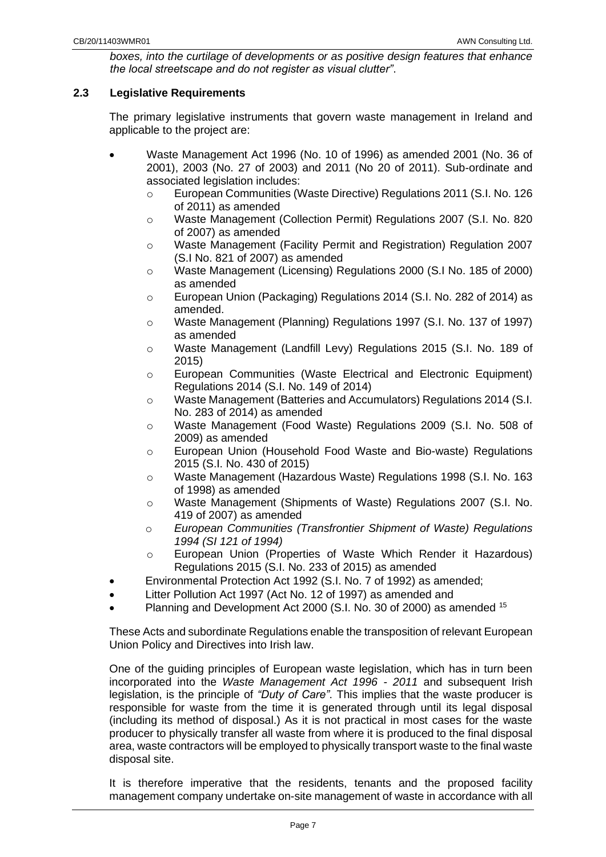*boxes, into the curtilage of developments or as positive design features that enhance the local streetscape and do not register as visual clutter"*.

## <span id="page-6-0"></span>**2.3 Legislative Requirements**

The primary legislative instruments that govern waste management in Ireland and applicable to the project are:

- Waste Management Act 1996 (No. 10 of 1996) as amended 2001 (No. 36 of 2001), 2003 (No. 27 of 2003) and 2011 (No 20 of 2011). Sub-ordinate and associated legislation includes:
	- o European Communities (Waste Directive) Regulations 2011 (S.I. No. 126 of 2011) as amended
	- o Waste Management (Collection Permit) Regulations 2007 (S.I. No. 820 of 2007) as amended
	- o Waste Management (Facility Permit and Registration) Regulation 2007 (S.I No. 821 of 2007) as amended
	- o Waste Management (Licensing) Regulations 2000 (S.I No. 185 of 2000) as amended
	- o European Union (Packaging) Regulations 2014 (S.I. No. 282 of 2014) as amended.
	- o Waste Management (Planning) Regulations 1997 (S.I. No. 137 of 1997) as amended
	- o Waste Management (Landfill Levy) Regulations 2015 (S.I. No. 189 of 2015)
	- o European Communities (Waste Electrical and Electronic Equipment) Regulations 2014 (S.I. No. 149 of 2014)
	- o Waste Management (Batteries and Accumulators) Regulations 2014 (S.I. No. 283 of 2014) as amended
	- o Waste Management (Food Waste) Regulations 2009 (S.I. No. 508 of 2009) as amended
	- o European Union (Household Food Waste and Bio-waste) Regulations 2015 (S.I. No. 430 of 2015)
	- o Waste Management (Hazardous Waste) Regulations 1998 (S.I. No. 163 of 1998) as amended
	- o Waste Management (Shipments of Waste) Regulations 2007 (S.I. No. 419 of 2007) as amended
	- o *European Communities (Transfrontier Shipment of Waste) Regulations 1994 (SI 121 of 1994)*
	- o European Union (Properties of Waste Which Render it Hazardous) Regulations 2015 (S.I. No. 233 of 2015) as amended
- Environmental Protection Act 1992 (S.I. No. 7 of 1992) as amended;
- Litter Pollution Act 1997 (Act No. 12 of 1997) as amended and
- Planning and Development Act 2000 (S.I. No. 30 of 2000) as amended <sup>15</sup>

These Acts and subordinate Regulations enable the transposition of relevant European Union Policy and Directives into Irish law.

One of the guiding principles of European waste legislation, which has in turn been incorporated into the *Waste Management Act 1996 - 2011* and subsequent Irish legislation, is the principle of *"Duty of Care"*. This implies that the waste producer is responsible for waste from the time it is generated through until its legal disposal (including its method of disposal.) As it is not practical in most cases for the waste producer to physically transfer all waste from where it is produced to the final disposal area, waste contractors will be employed to physically transport waste to the final waste disposal site.

It is therefore imperative that the residents, tenants and the proposed facility management company undertake on-site management of waste in accordance with all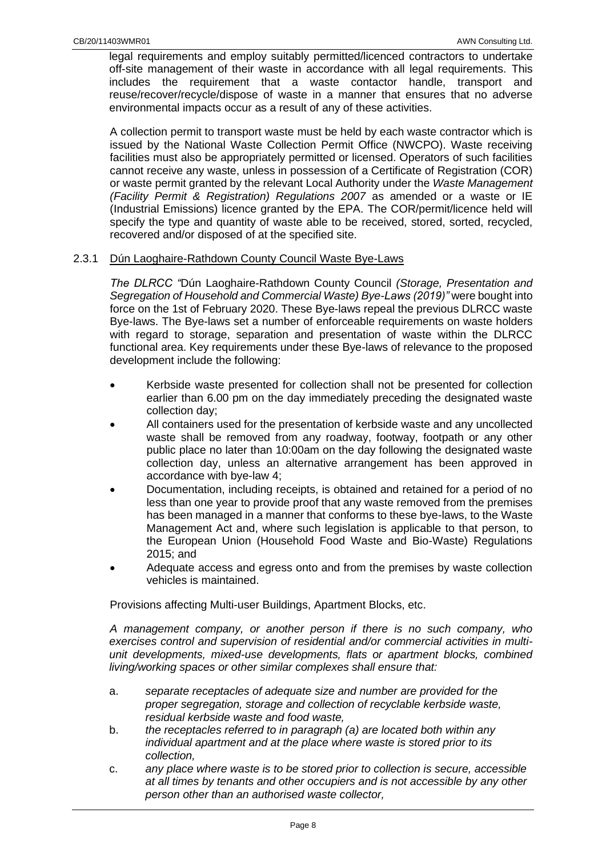legal requirements and employ suitably permitted/licenced contractors to undertake off-site management of their waste in accordance with all legal requirements. This includes the requirement that a waste contactor handle, transport and reuse/recover/recycle/dispose of waste in a manner that ensures that no adverse environmental impacts occur as a result of any of these activities.

A collection permit to transport waste must be held by each waste contractor which is issued by the National Waste Collection Permit Office (NWCPO). Waste receiving facilities must also be appropriately permitted or licensed. Operators of such facilities cannot receive any waste, unless in possession of a Certificate of Registration (COR) or waste permit granted by the relevant Local Authority under the *Waste Management (Facility Permit & Registration) Regulations 2007* as amended or a waste or IE (Industrial Emissions) licence granted by the EPA. The COR/permit/licence held will specify the type and quantity of waste able to be received, stored, sorted, recycled, recovered and/or disposed of at the specified site.

#### <span id="page-7-0"></span>2.3.1 Dún Laoghaire-Rathdown County Council Waste Bye-Laws

*The DLRCC "*Dún Laoghaire-Rathdown County Council *(Storage, Presentation and Segregation of Household and Commercial Waste) Bye-Laws (2019)"* were bought into force on the 1st of February 2020. These Bye-laws repeal the previous DLRCC waste Bye-laws. The Bye-laws set a number of enforceable requirements on waste holders with regard to storage, separation and presentation of waste within the DLRCC functional area. Key requirements under these Bye-laws of relevance to the proposed development include the following:

- Kerbside waste presented for collection shall not be presented for collection earlier than 6.00 pm on the day immediately preceding the designated waste collection day;
- All containers used for the presentation of kerbside waste and any uncollected waste shall be removed from any roadway, footway, footpath or any other public place no later than 10:00am on the day following the designated waste collection day, unless an alternative arrangement has been approved in accordance with bye-law 4;
- Documentation, including receipts, is obtained and retained for a period of no less than one year to provide proof that any waste removed from the premises has been managed in a manner that conforms to these bye-laws, to the Waste Management Act and, where such legislation is applicable to that person, to the European Union (Household Food Waste and Bio-Waste) Regulations 2015; and
- Adequate access and egress onto and from the premises by waste collection vehicles is maintained.

Provisions affecting Multi-user Buildings, Apartment Blocks, etc.

*A management company, or another person if there is no such company, who exercises control and supervision of residential and/or commercial activities in multiunit developments, mixed-use developments, flats or apartment blocks, combined living/working spaces or other similar complexes shall ensure that:* 

- a. *separate receptacles of adequate size and number are provided for the proper segregation, storage and collection of recyclable kerbside waste, residual kerbside waste and food waste,*
- b. *the receptacles referred to in paragraph (a) are located both within any individual apartment and at the place where waste is stored prior to its collection,*
- c. *any place where waste is to be stored prior to collection is secure, accessible at all times by tenants and other occupiers and is not accessible by any other person other than an authorised waste collector,*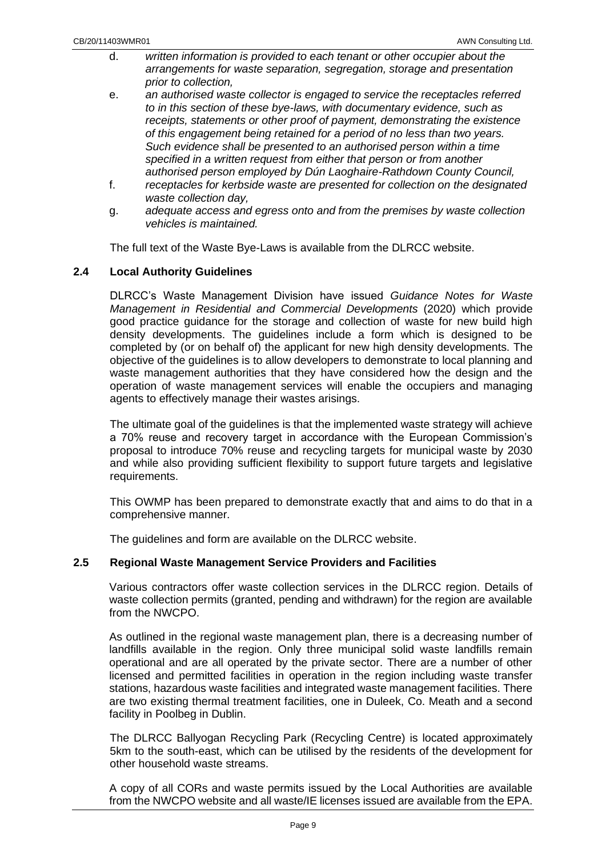- d. *written information is provided to each tenant or other occupier about the arrangements for waste separation, segregation, storage and presentation prior to collection,*
- e. *an authorised waste collector is engaged to service the receptacles referred to in this section of these bye-laws, with documentary evidence, such as receipts, statements or other proof of payment, demonstrating the existence of this engagement being retained for a period of no less than two years. Such evidence shall be presented to an authorised person within a time specified in a written request from either that person or from another authorised person employed by Dún Laoghaire-Rathdown County Council,*
- f. *receptacles for kerbside waste are presented for collection on the designated waste collection day,*
- g. *adequate access and egress onto and from the premises by waste collection vehicles is maintained.*

The full text of the Waste Bye-Laws is available from the DLRCC website.

## <span id="page-8-0"></span>**2.4 Local Authority Guidelines**

DLRCC's Waste Management Division have issued *Guidance Notes for Waste Management in Residential and Commercial Developments* (2020) which provide good practice guidance for the storage and collection of waste for new build high density developments. The guidelines include a form which is designed to be completed by (or on behalf of) the applicant for new high density developments. The objective of the guidelines is to allow developers to demonstrate to local planning and waste management authorities that they have considered how the design and the operation of waste management services will enable the occupiers and managing agents to effectively manage their wastes arisings.

The ultimate goal of the guidelines is that the implemented waste strategy will achieve a 70% reuse and recovery target in accordance with the European Commission's proposal to introduce 70% reuse and recycling targets for municipal waste by 2030 and while also providing sufficient flexibility to support future targets and legislative requirements.

This OWMP has been prepared to demonstrate exactly that and aims to do that in a comprehensive manner.

The guidelines and form are available on the DLRCC website.

## <span id="page-8-1"></span>**2.5 Regional Waste Management Service Providers and Facilities**

Various contractors offer waste collection services in the DLRCC region. Details of waste collection permits (granted, pending and withdrawn) for the region are available from the NWCPO.

As outlined in the regional waste management plan, there is a decreasing number of landfills available in the region. Only three municipal solid waste landfills remain operational and are all operated by the private sector. There are a number of other licensed and permitted facilities in operation in the region including waste transfer stations, hazardous waste facilities and integrated waste management facilities. There are two existing thermal treatment facilities, one in Duleek, Co. Meath and a second facility in Poolbeg in Dublin.

The DLRCC Ballyogan Recycling Park (Recycling Centre) is located approximately 5km to the south-east, which can be utilised by the residents of the development for other household waste streams.

A copy of all CORs and waste permits issued by the Local Authorities are available from the NWCPO website and all waste/IE licenses issued are available from the EPA.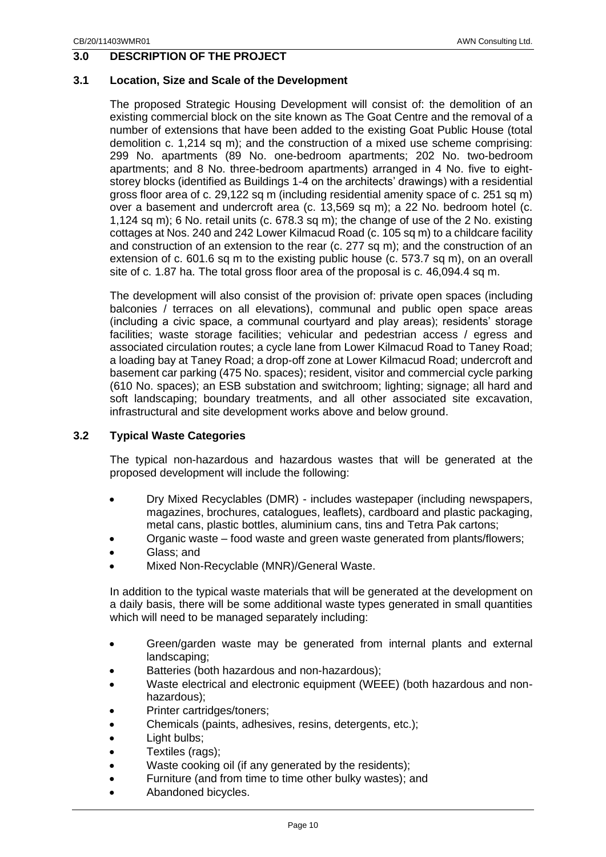## <span id="page-9-0"></span>**3.0 DESCRIPTION OF THE PROJECT**

#### <span id="page-9-1"></span>**3.1 Location, Size and Scale of the Development**

The proposed Strategic Housing Development will consist of: the demolition of an existing commercial block on the site known as The Goat Centre and the removal of a number of extensions that have been added to the existing Goat Public House (total demolition c. 1,214 sq m); and the construction of a mixed use scheme comprising: 299 No. apartments (89 No. one-bedroom apartments; 202 No. two-bedroom apartments; and 8 No. three-bedroom apartments) arranged in 4 No. five to eightstorey blocks (identified as Buildings 1-4 on the architects' drawings) with a residential gross floor area of c. 29,122 sq m (including residential amenity space of c. 251 sq m) over a basement and undercroft area (c. 13,569 sq m); a 22 No. bedroom hotel (c. 1,124 sq m); 6 No. retail units (c. 678.3 sq m); the change of use of the 2 No. existing cottages at Nos. 240 and 242 Lower Kilmacud Road (c. 105 sq m) to a childcare facility and construction of an extension to the rear (c. 277 sq m); and the construction of an extension of c. 601.6 sq m to the existing public house (c. 573.7 sq m), on an overall site of c. 1.87 ha. The total gross floor area of the proposal is c. 46,094.4 sq m.

The development will also consist of the provision of: private open spaces (including balconies / terraces on all elevations), communal and public open space areas (including a civic space, a communal courtyard and play areas); residents' storage facilities; waste storage facilities; vehicular and pedestrian access / egress and associated circulation routes; a cycle lane from Lower Kilmacud Road to Taney Road; a loading bay at Taney Road; a drop-off zone at Lower Kilmacud Road; undercroft and basement car parking (475 No. spaces); resident, visitor and commercial cycle parking (610 No. spaces); an ESB substation and switchroom; lighting; signage; all hard and soft landscaping; boundary treatments, and all other associated site excavation, infrastructural and site development works above and below ground.

## <span id="page-9-2"></span>**3.2 Typical Waste Categories**

The typical non-hazardous and hazardous wastes that will be generated at the proposed development will include the following:

- Dry Mixed Recyclables (DMR) includes wastepaper (including newspapers, magazines, brochures, catalogues, leaflets), cardboard and plastic packaging, metal cans, plastic bottles, aluminium cans, tins and Tetra Pak cartons;
- Organic waste food waste and green waste generated from plants/flowers;
- Glass: and
- Mixed Non-Recyclable (MNR)/General Waste.

In addition to the typical waste materials that will be generated at the development on a daily basis, there will be some additional waste types generated in small quantities which will need to be managed separately including:

- Green/garden waste may be generated from internal plants and external landscaping;
- Batteries (both hazardous and non-hazardous);
- Waste electrical and electronic equipment (WEEE) (both hazardous and nonhazardous);
- Printer cartridges/toners:
- Chemicals (paints, adhesives, resins, detergents, etc.);
- Light bulbs;
- Textiles (rags);
- Waste cooking oil (if any generated by the residents);
- Furniture (and from time to time other bulky wastes); and
- Abandoned bicycles.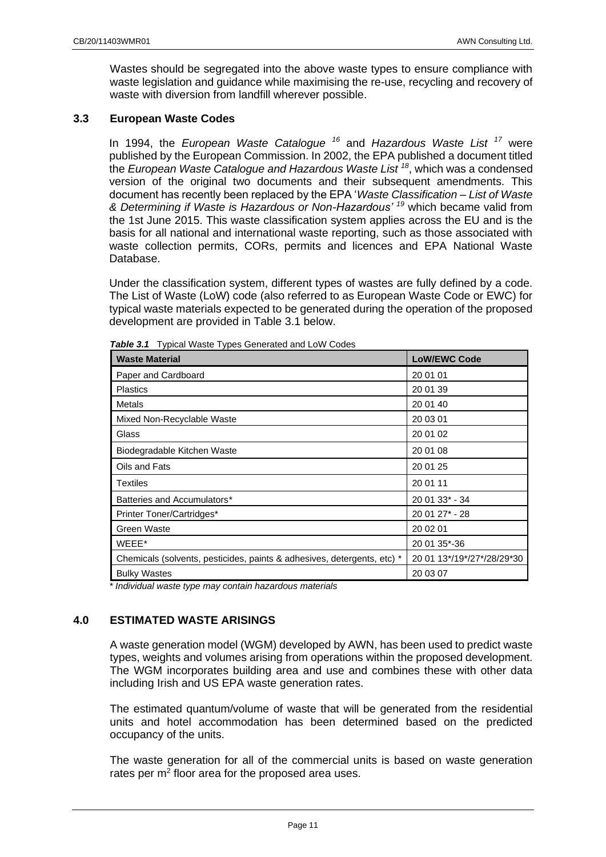Wastes should be segregated into the above waste types to ensure compliance with waste legislation and guidance while maximising the re-use, recycling and recovery of waste with diversion from landfill wherever possible.

#### <span id="page-10-0"></span>**3.3 European Waste Codes**

In 1994, the *European Waste Catalogue <sup>16</sup>* and *Hazardous Waste List <sup>17</sup>* were published by the European Commission. In 2002, the EPA published a document titled the *European Waste Catalogue and Hazardous Waste List <sup>18</sup>* , which was a condensed version of the original two documents and their subsequent amendments. This document has recently been replaced by the EPA '*Waste Classification – List of Waste & Determining if Waste is Hazardous or Non-Hazardous' <sup>19</sup>* which became valid from the 1st June 2015. This waste classification system applies across the EU and is the basis for all national and international waste reporting, such as those associated with waste collection permits, CORs, permits and licences and EPA National Waste Database.

Under the classification system, different types of wastes are fully defined by a code. The List of Waste (LoW) code (also referred to as European Waste Code or EWC) for typical waste materials expected to be generated during the operation of the proposed development are provided in Table 3.1 below.

| <b>Waste Material</b>                                                   | <b>LoW/EWC Code</b>        |
|-------------------------------------------------------------------------|----------------------------|
| Paper and Cardboard                                                     | 20 01 01                   |
| <b>Plastics</b>                                                         | 20 01 39                   |
| Metals                                                                  | 20 01 40                   |
| Mixed Non-Recyclable Waste                                              | 20 03 01                   |
| Glass                                                                   | 20 01 02                   |
| Biodegradable Kitchen Waste                                             | 20 01 08                   |
| Oils and Fats                                                           | 20 01 25                   |
| Textiles                                                                | 20 01 11                   |
| Batteries and Accumulators*                                             | 20 01 33* - 34             |
| Printer Toner/Cartridges*                                               | 20 01 27* - 28             |
| Green Waste                                                             | 20 02 01                   |
| WEEE*                                                                   | 20 01 35*-36               |
| Chemicals (solvents, pesticides, paints & adhesives, detergents, etc) * | 20 01 13*/19*/27*/28/29*30 |
| <b>Bulky Wastes</b>                                                     | 20 03 07                   |

*Table 3.1* Typical Waste Types Generated and LoW Codes

*\* Individual waste type may contain hazardous materials*

## <span id="page-10-1"></span>**4.0 ESTIMATED WASTE ARISINGS**

A waste generation model (WGM) developed by AWN, has been used to predict waste types, weights and volumes arising from operations within the proposed development. The WGM incorporates building area and use and combines these with other data including Irish and US EPA waste generation rates.

The estimated quantum/volume of waste that will be generated from the residential units and hotel accommodation has been determined based on the predicted occupancy of the units.

The waste generation for all of the commercial units is based on waste generation rates per  $m<sup>2</sup>$  floor area for the proposed area uses.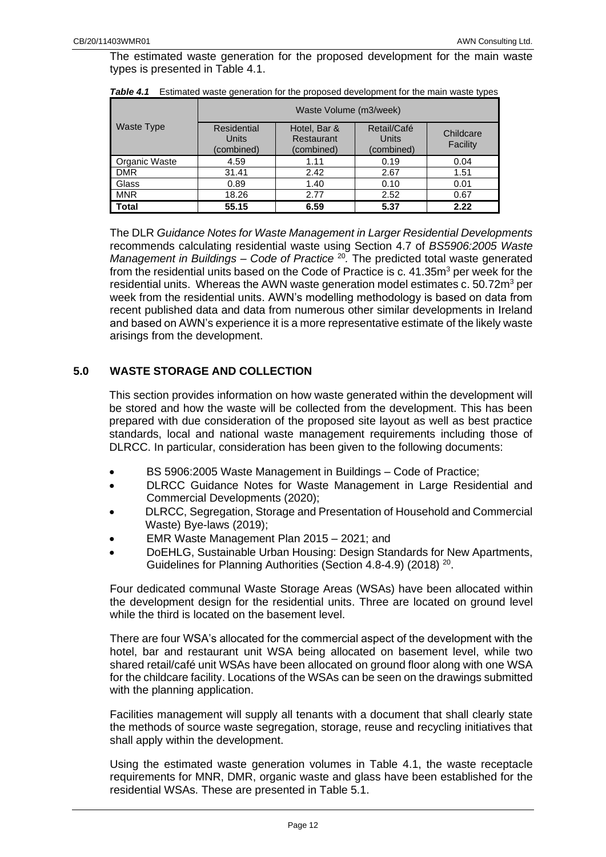The estimated waste generation for the proposed development for the main waste types is presented in Table 4.1.

|                      | Waste Volume (m3/week)             |                                          |                                    |                       |
|----------------------|------------------------------------|------------------------------------------|------------------------------------|-----------------------|
| <b>Waste Type</b>    | Residential<br>Units<br>(combined) | Hotel, Bar &<br>Restaurant<br>(combined) | Retail/Café<br>Units<br>(combined) | Childcare<br>Facility |
| <b>Organic Waste</b> | 4.59                               | 1.11                                     | 0.19                               | 0.04                  |
| <b>DMR</b>           | 31.41                              | 2.42                                     | 2.67                               | 1.51                  |
| Glass                | 0.89                               | 1.40                                     | 0.10                               | 0.01                  |
| <b>MNR</b>           | 18.26                              | 2.77                                     | 2.52                               | 0.67                  |
| <b>Total</b>         | 55.15                              | 6.59                                     | 5.37                               | 2.22                  |

**Table 4.1** Estimated waste generation for the proposed development for the main waste types

The DLR *Guidance Notes for Waste Management in Larger Residential Developments*  recommends calculating residential waste using Section 4.7 of *BS5906:2005 Waste*  Management in Buildings - Code of Practice <sup>20</sup>. The predicted total waste generated from the residential units based on the Code of Practice is c.  $41.35<sup>m3</sup>$  per week for the residential units. Whereas the AWN waste generation model estimates c.  $50.72<sup>m</sup>$  per week from the residential units. AWN's modelling methodology is based on data from recent published data and data from numerous other similar developments in Ireland and based on AWN's experience it is a more representative estimate of the likely waste arisings from the development.

## <span id="page-11-0"></span>**5.0 WASTE STORAGE AND COLLECTION**

This section provides information on how waste generated within the development will be stored and how the waste will be collected from the development. This has been prepared with due consideration of the proposed site layout as well as best practice standards, local and national waste management requirements including those of DLRCC. In particular, consideration has been given to the following documents:

- BS 5906:2005 Waste Management in Buildings Code of Practice;
- DLRCC Guidance Notes for Waste Management in Large Residential and Commercial Developments (2020);
- DLRCC, Segregation, Storage and Presentation of Household and Commercial Waste) Bye-laws (2019);
- EMR Waste Management Plan 2015 2021; and
- DoEHLG, Sustainable Urban Housing: Design Standards for New Apartments, Guidelines for Planning Authorities (Section 4.8-4.9) (2018)<sup>20</sup>.

Four dedicated communal Waste Storage Areas (WSAs) have been allocated within the development design for the residential units. Three are located on ground level while the third is located on the basement level.

There are four WSA's allocated for the commercial aspect of the development with the hotel, bar and restaurant unit WSA being allocated on basement level, while two shared retail/café unit WSAs have been allocated on ground floor along with one WSA for the childcare facility. Locations of the WSAs can be seen on the drawings submitted with the planning application.

Facilities management will supply all tenants with a document that shall clearly state the methods of source waste segregation, storage, reuse and recycling initiatives that shall apply within the development.

Using the estimated waste generation volumes in Table 4.1, the waste receptacle requirements for MNR, DMR, organic waste and glass have been established for the residential WSAs. These are presented in Table 5.1.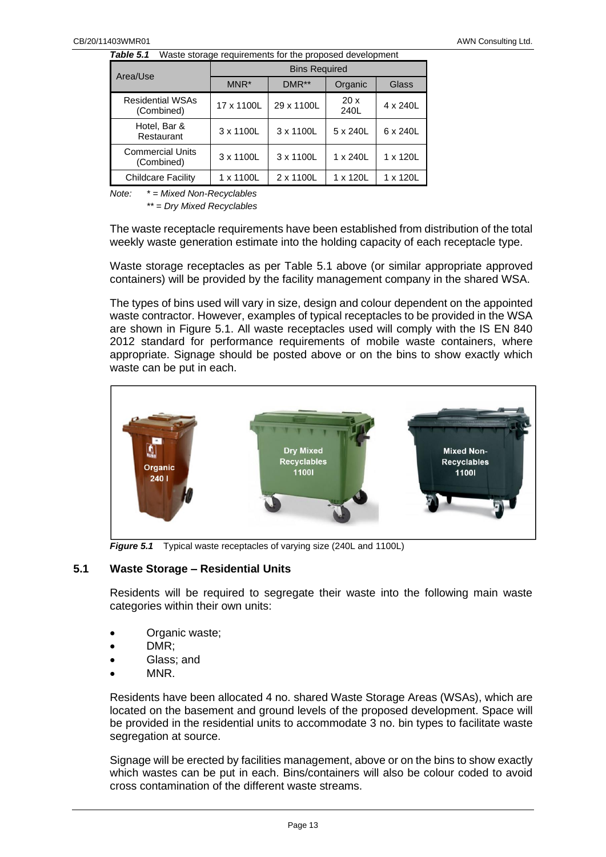*Table 5.1* Waste storage requirements for the proposed development

| Area/Use                              | <b>Bins Required</b> |            |             |          |
|---------------------------------------|----------------------|------------|-------------|----------|
|                                       | $MNR^*$              | $DMR**$    | Organic     | Glass    |
| <b>Residential WSAs</b><br>(Combined) | 17 x 1100L           | 29 x 1100L | 20x<br>240L | 4 x 240L |
| Hotel, Bar &<br>Restaurant            | 3 x 1100L            | 3 x 1100L  | 5 x 240L    | 6 x 240L |
| <b>Commercial Units</b><br>(Combined) | 3 x 1100L            | 3 x 1100L  | 1 x 240L    | 1 x 120L |
| <b>Childcare Facility</b>             | 1 x 1100L            | 2 x 1100L  | 1 x 120L    | 1 x 120L |

*Note: \* = Mixed Non-Recyclables*

*\*\* = Dry Mixed Recyclables*

The waste receptacle requirements have been established from distribution of the total weekly waste generation estimate into the holding capacity of each receptacle type.

Waste storage receptacles as per Table 5.1 above (or similar appropriate approved containers) will be provided by the facility management company in the shared WSA.

The types of bins used will vary in size, design and colour dependent on the appointed waste contractor. However, examples of typical receptacles to be provided in the WSA are shown in Figure 5.1. All waste receptacles used will comply with the IS EN 840 2012 standard for performance requirements of mobile waste containers, where appropriate. Signage should be posted above or on the bins to show exactly which waste can be put in each.



*Figure 5.1* Typical waste receptacles of varying size (240L and 1100L)

#### <span id="page-12-0"></span>**5.1 Waste Storage – Residential Units**

Residents will be required to segregate their waste into the following main waste categories within their own units:

- Organic waste;
- DMR;
- Glass: and
- MNR.

Residents have been allocated 4 no. shared Waste Storage Areas (WSAs), which are located on the basement and ground levels of the proposed development. Space will be provided in the residential units to accommodate 3 no. bin types to facilitate waste segregation at source.

Signage will be erected by facilities management, above or on the bins to show exactly which wastes can be put in each. Bins/containers will also be colour coded to avoid cross contamination of the different waste streams.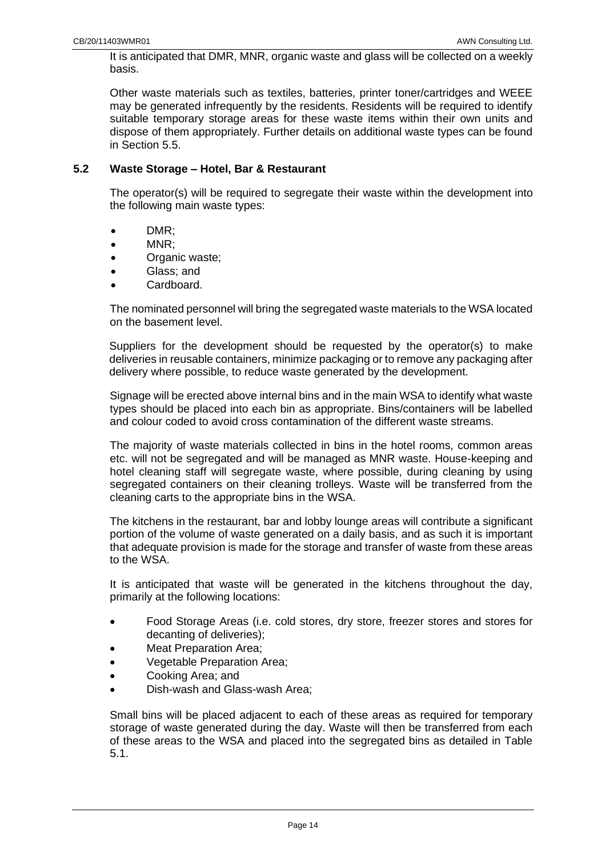It is anticipated that DMR, MNR, organic waste and glass will be collected on a weekly basis.

Other waste materials such as textiles, batteries, printer toner/cartridges and WEEE may be generated infrequently by the residents. Residents will be required to identify suitable temporary storage areas for these waste items within their own units and dispose of them appropriately. Further details on additional waste types can be found in Section 5.5.

## <span id="page-13-0"></span>**5.2 Waste Storage – Hotel, Bar & Restaurant**

The operator(s) will be required to segregate their waste within the development into the following main waste types:

- DMR;
- MNR;
- Organic waste;
- Glass; and
- Cardboard.

The nominated personnel will bring the segregated waste materials to the WSA located on the basement level.

Suppliers for the development should be requested by the operator(s) to make deliveries in reusable containers, minimize packaging or to remove any packaging after delivery where possible, to reduce waste generated by the development.

Signage will be erected above internal bins and in the main WSA to identify what waste types should be placed into each bin as appropriate. Bins/containers will be labelled and colour coded to avoid cross contamination of the different waste streams.

The majority of waste materials collected in bins in the hotel rooms, common areas etc. will not be segregated and will be managed as MNR waste. House-keeping and hotel cleaning staff will segregate waste, where possible, during cleaning by using segregated containers on their cleaning trolleys. Waste will be transferred from the cleaning carts to the appropriate bins in the WSA.

The kitchens in the restaurant, bar and lobby lounge areas will contribute a significant portion of the volume of waste generated on a daily basis, and as such it is important that adequate provision is made for the storage and transfer of waste from these areas to the WSA.

It is anticipated that waste will be generated in the kitchens throughout the day, primarily at the following locations:

- Food Storage Areas (i.e. cold stores, dry store, freezer stores and stores for decanting of deliveries);
- Meat Preparation Area;
- Vegetable Preparation Area;
- Cooking Area; and
- Dish-wash and Glass-wash Area;

Small bins will be placed adjacent to each of these areas as required for temporary storage of waste generated during the day. Waste will then be transferred from each of these areas to the WSA and placed into the segregated bins as detailed in Table 5.1.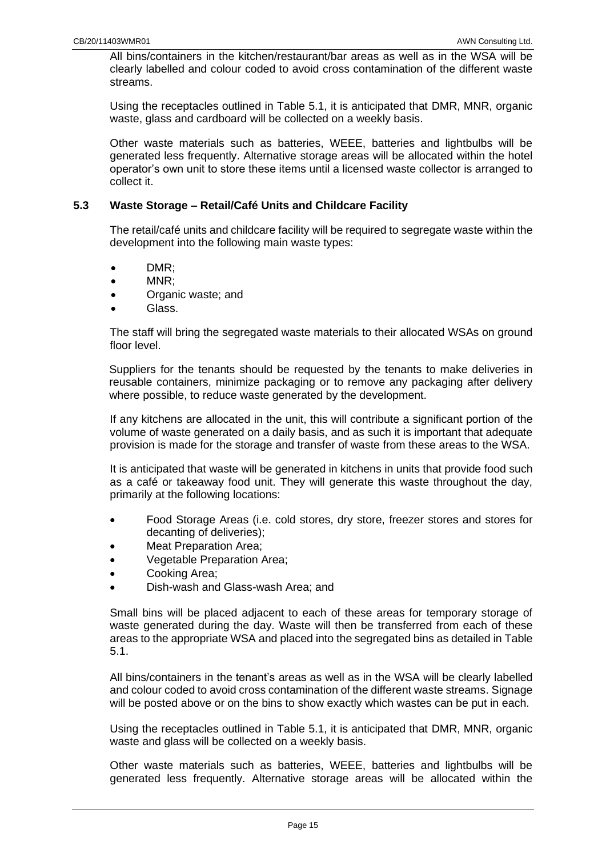All bins/containers in the kitchen/restaurant/bar areas as well as in the WSA will be clearly labelled and colour coded to avoid cross contamination of the different waste streams.

Using the receptacles outlined in Table 5.1, it is anticipated that DMR, MNR, organic waste, glass and cardboard will be collected on a weekly basis.

Other waste materials such as batteries, WEEE, batteries and lightbulbs will be generated less frequently. Alternative storage areas will be allocated within the hotel operator's own unit to store these items until a licensed waste collector is arranged to collect it.

#### <span id="page-14-0"></span>**5.3 Waste Storage – Retail/Café Units and Childcare Facility**

The retail/café units and childcare facility will be required to segregate waste within the development into the following main waste types:

- DMR;
- MNR;
- Organic waste; and
- Glass.

The staff will bring the segregated waste materials to their allocated WSAs on ground floor level.

Suppliers for the tenants should be requested by the tenants to make deliveries in reusable containers, minimize packaging or to remove any packaging after delivery where possible, to reduce waste generated by the development.

If any kitchens are allocated in the unit, this will contribute a significant portion of the volume of waste generated on a daily basis, and as such it is important that adequate provision is made for the storage and transfer of waste from these areas to the WSA.

It is anticipated that waste will be generated in kitchens in units that provide food such as a café or takeaway food unit. They will generate this waste throughout the day, primarily at the following locations:

- Food Storage Areas (i.e. cold stores, dry store, freezer stores and stores for decanting of deliveries);
- Meat Preparation Area;
- Vegetable Preparation Area;
- Cooking Area;
- Dish-wash and Glass-wash Area; and

Small bins will be placed adjacent to each of these areas for temporary storage of waste generated during the day. Waste will then be transferred from each of these areas to the appropriate WSA and placed into the segregated bins as detailed in Table 5.1.

All bins/containers in the tenant's areas as well as in the WSA will be clearly labelled and colour coded to avoid cross contamination of the different waste streams. Signage will be posted above or on the bins to show exactly which wastes can be put in each.

Using the receptacles outlined in Table 5.1, it is anticipated that DMR, MNR, organic waste and glass will be collected on a weekly basis.

Other waste materials such as batteries, WEEE, batteries and lightbulbs will be generated less frequently. Alternative storage areas will be allocated within the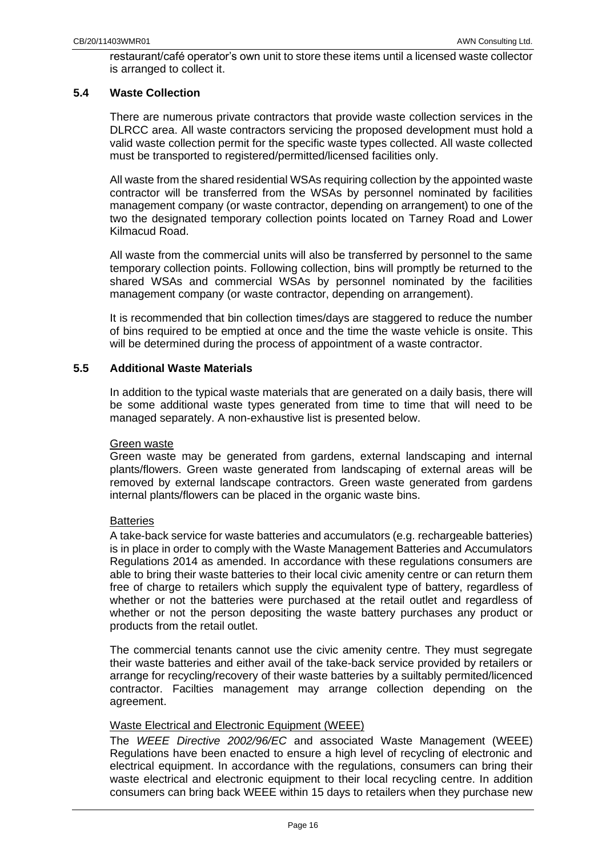restaurant/café operator's own unit to store these items until a licensed waste collector is arranged to collect it.

## <span id="page-15-0"></span>**5.4 Waste Collection**

There are numerous private contractors that provide waste collection services in the DLRCC area. All waste contractors servicing the proposed development must hold a valid waste collection permit for the specific waste types collected. All waste collected must be transported to registered/permitted/licensed facilities only.

All waste from the shared residential WSAs requiring collection by the appointed waste contractor will be transferred from the WSAs by personnel nominated by facilities management company (or waste contractor, depending on arrangement) to one of the two the designated temporary collection points located on Tarney Road and Lower Kilmacud Road.

All waste from the commercial units will also be transferred by personnel to the same temporary collection points. Following collection, bins will promptly be returned to the shared WSAs and commercial WSAs by personnel nominated by the facilities management company (or waste contractor, depending on arrangement).

It is recommended that bin collection times/days are staggered to reduce the number of bins required to be emptied at once and the time the waste vehicle is onsite. This will be determined during the process of appointment of a waste contractor.

#### <span id="page-15-1"></span>**5.5 Additional Waste Materials**

In addition to the typical waste materials that are generated on a daily basis, there will be some additional waste types generated from time to time that will need to be managed separately. A non-exhaustive list is presented below.

#### Green waste

Green waste may be generated from gardens, external landscaping and internal plants/flowers. Green waste generated from landscaping of external areas will be removed by external landscape contractors. Green waste generated from gardens internal plants/flowers can be placed in the organic waste bins.

## **Batteries**

A take-back service for waste batteries and accumulators (e.g. rechargeable batteries) is in place in order to comply with the Waste Management Batteries and Accumulators Regulations 2014 as amended. In accordance with these regulations consumers are able to bring their waste batteries to their local civic amenity centre or can return them free of charge to retailers which supply the equivalent type of battery, regardless of whether or not the batteries were purchased at the retail outlet and regardless of whether or not the person depositing the waste battery purchases any product or products from the retail outlet.

The commercial tenants cannot use the civic amenity centre. They must segregate their waste batteries and either avail of the take-back service provided by retailers or arrange for recycling/recovery of their waste batteries by a suiltably permited/licenced contractor. Facilties management may arrange collection depending on the agreement.

## Waste Electrical and Electronic Equipment (WEEE)

The *WEEE Directive 2002/96/EC* and associated Waste Management (WEEE) Regulations have been enacted to ensure a high level of recycling of electronic and electrical equipment. In accordance with the regulations, consumers can bring their waste electrical and electronic equipment to their local recycling centre. In addition consumers can bring back WEEE within 15 days to retailers when they purchase new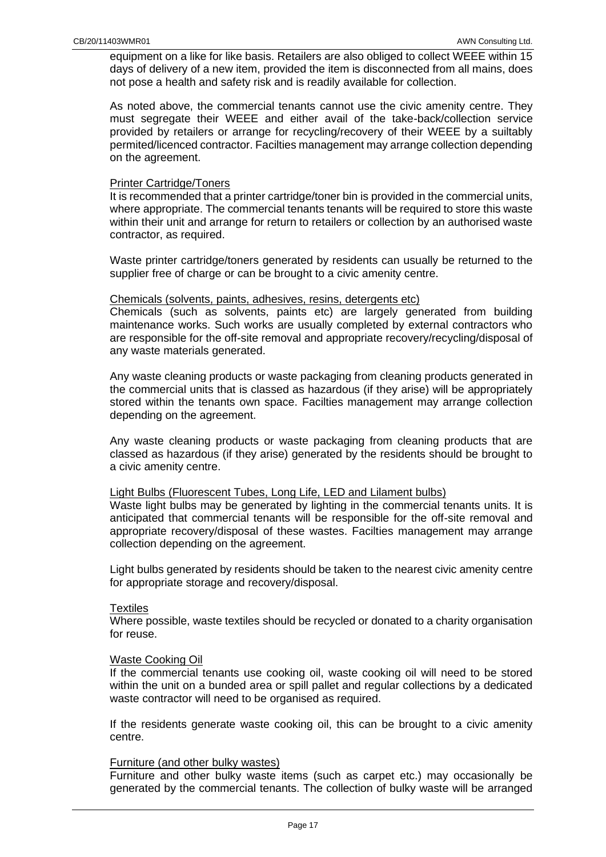equipment on a like for like basis. Retailers are also obliged to collect WEEE within 15 days of delivery of a new item, provided the item is disconnected from all mains, does not pose a health and safety risk and is readily available for collection.

As noted above, the commercial tenants cannot use the civic amenity centre. They must segregate their WEEE and either avail of the take-back/collection service provided by retailers or arrange for recycling/recovery of their WEEE by a suiltably permited/licenced contractor. Facilties management may arrange collection depending on the agreement.

#### Printer Cartridge/Toners

It is recommended that a printer cartridge/toner bin is provided in the commercial units, where appropriate. The commercial tenants tenants will be required to store this waste within their unit and arrange for return to retailers or collection by an authorised waste contractor, as required.

Waste printer cartridge/toners generated by residents can usually be returned to the supplier free of charge or can be brought to a civic amenity centre.

#### Chemicals (solvents, paints, adhesives, resins, detergents etc)

Chemicals (such as solvents, paints etc) are largely generated from building maintenance works. Such works are usually completed by external contractors who are responsible for the off-site removal and appropriate recovery/recycling/disposal of any waste materials generated.

Any waste cleaning products or waste packaging from cleaning products generated in the commercial units that is classed as hazardous (if they arise) will be appropriately stored within the tenants own space. Facilties management may arrange collection depending on the agreement.

Any waste cleaning products or waste packaging from cleaning products that are classed as hazardous (if they arise) generated by the residents should be brought to a civic amenity centre.

#### Light Bulbs (Fluorescent Tubes, Long Life, LED and Lilament bulbs)

Waste light bulbs may be generated by lighting in the commercial tenants units. It is anticipated that commercial tenants will be responsible for the off-site removal and appropriate recovery/disposal of these wastes. Facilties management may arrange collection depending on the agreement.

Light bulbs generated by residents should be taken to the nearest civic amenity centre for appropriate storage and recovery/disposal.

#### **Textiles**

Where possible, waste textiles should be recycled or donated to a charity organisation for reuse.

#### Waste Cooking Oil

If the commercial tenants use cooking oil, waste cooking oil will need to be stored within the unit on a bunded area or spill pallet and regular collections by a dedicated waste contractor will need to be organised as required.

If the residents generate waste cooking oil, this can be brought to a civic amenity centre.

#### Furniture (and other bulky wastes)

Furniture and other bulky waste items (such as carpet etc.) may occasionally be generated by the commercial tenants. The collection of bulky waste will be arranged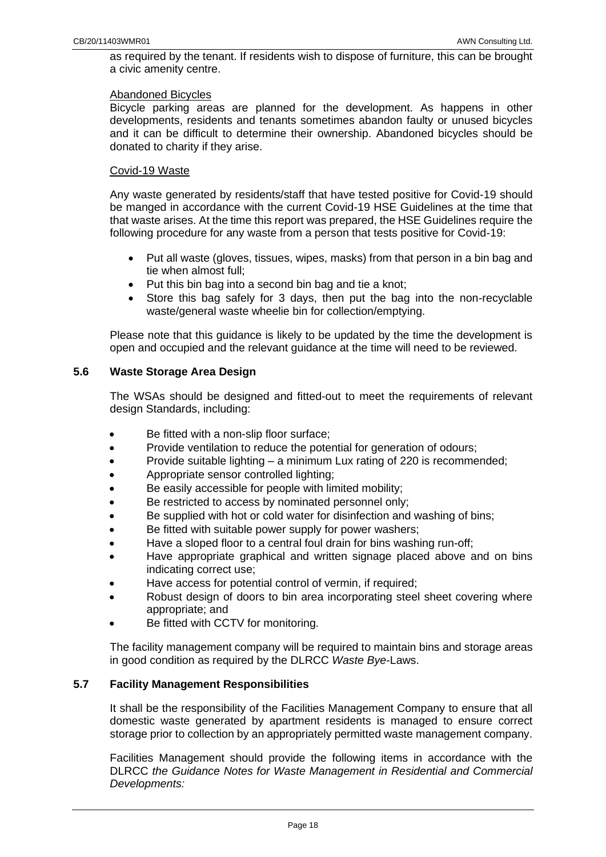as required by the tenant. If residents wish to dispose of furniture, this can be brought a civic amenity centre.

#### Abandoned Bicycles

Bicycle parking areas are planned for the development. As happens in other developments, residents and tenants sometimes abandon faulty or unused bicycles and it can be difficult to determine their ownership. Abandoned bicycles should be donated to charity if they arise.

#### Covid-19 Waste

Any waste generated by residents/staff that have tested positive for Covid-19 should be manged in accordance with the current Covid-19 HSE Guidelines at the time that that waste arises. At the time this report was prepared, the HSE Guidelines require the following procedure for any waste from a person that tests positive for Covid-19:

- Put all waste (gloves, tissues, wipes, masks) from that person in a bin bag and tie when almost full;
- Put this bin bag into a second bin bag and tie a knot;
- Store this bag safely for 3 days, then put the bag into the non-recyclable waste/general waste wheelie bin for collection/emptying.

Please note that this guidance is likely to be updated by the time the development is open and occupied and the relevant guidance at the time will need to be reviewed.

## <span id="page-17-0"></span>**5.6 Waste Storage Area Design**

The WSAs should be designed and fitted-out to meet the requirements of relevant design Standards, including:

- Be fitted with a non-slip floor surface;
- Provide ventilation to reduce the potential for generation of odours;
- Provide suitable lighting a minimum Lux rating of 220 is recommended;
- Appropriate sensor controlled lighting;
- Be easily accessible for people with limited mobility;
- Be restricted to access by nominated personnel only;
- Be supplied with hot or cold water for disinfection and washing of bins;
- Be fitted with suitable power supply for power washers;
- Have a sloped floor to a central foul drain for bins washing run-off;
- Have appropriate graphical and written signage placed above and on bins indicating correct use;
- Have access for potential control of vermin, if required;
- Robust design of doors to bin area incorporating steel sheet covering where appropriate; and
- Be fitted with CCTV for monitoring.

The facility management company will be required to maintain bins and storage areas in good condition as required by the DLRCC *Waste Bye-*Laws.

## <span id="page-17-1"></span>**5.7 Facility Management Responsibilities**

It shall be the responsibility of the Facilities Management Company to ensure that all domestic waste generated by apartment residents is managed to ensure correct storage prior to collection by an appropriately permitted waste management company.

Facilities Management should provide the following items in accordance with the DLRCC *the Guidance Notes for Waste Management in Residential and Commercial Developments:*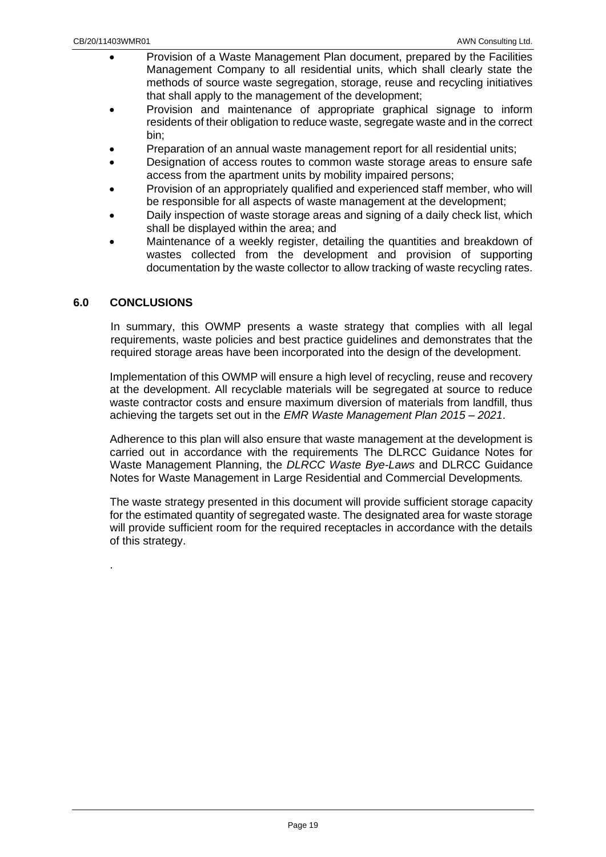- Provision of a Waste Management Plan document, prepared by the Facilities Management Company to all residential units, which shall clearly state the methods of source waste segregation, storage, reuse and recycling initiatives that shall apply to the management of the development;
- Provision and maintenance of appropriate graphical signage to inform residents of their obligation to reduce waste, segregate waste and in the correct bin;
- Preparation of an annual waste management report for all residential units;
- Designation of access routes to common waste storage areas to ensure safe access from the apartment units by mobility impaired persons;
- Provision of an appropriately qualified and experienced staff member, who will be responsible for all aspects of waste management at the development;
- Daily inspection of waste storage areas and signing of a daily check list, which shall be displayed within the area; and
- Maintenance of a weekly register, detailing the quantities and breakdown of wastes collected from the development and provision of supporting documentation by the waste collector to allow tracking of waste recycling rates.

## <span id="page-18-0"></span>**6.0 CONCLUSIONS**

.

In summary, this OWMP presents a waste strategy that complies with all legal requirements, waste policies and best practice guidelines and demonstrates that the required storage areas have been incorporated into the design of the development.

Implementation of this OWMP will ensure a high level of recycling, reuse and recovery at the development. All recyclable materials will be segregated at source to reduce waste contractor costs and ensure maximum diversion of materials from landfill, thus achieving the targets set out in the *EMR Waste Management Plan 2015 – 2021*.

Adherence to this plan will also ensure that waste management at the development is carried out in accordance with the requirements The DLRCC Guidance Notes for Waste Management Planning, the *DLRCC Waste Bye-Laws* and DLRCC Guidance Notes for Waste Management in Large Residential and Commercial Developments*.*

The waste strategy presented in this document will provide sufficient storage capacity for the estimated quantity of segregated waste. The designated area for waste storage will provide sufficient room for the required receptacles in accordance with the details of this strategy.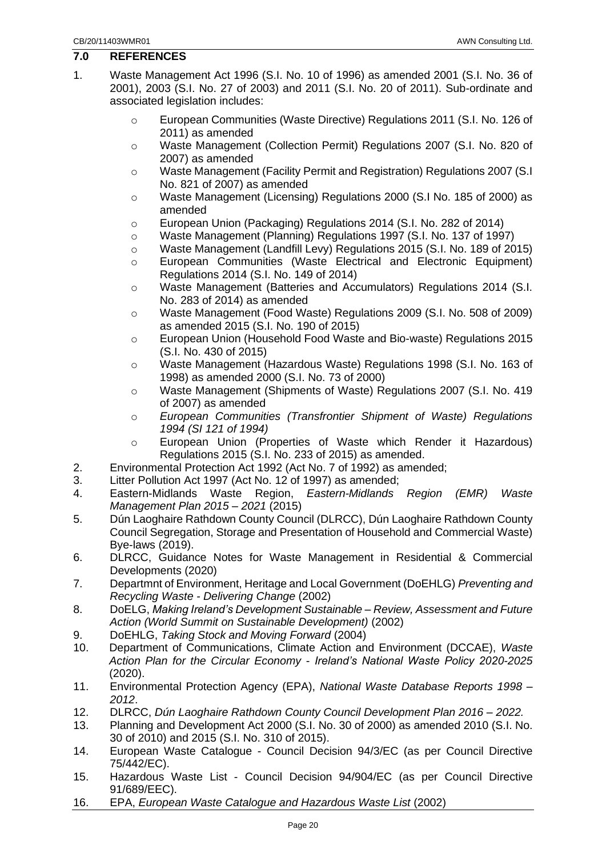#### <span id="page-19-0"></span>**7.0 REFERENCES**

- 1. Waste Management Act 1996 (S.I. No. 10 of 1996) as amended 2001 (S.I. No. 36 of 2001), 2003 (S.I. No. 27 of 2003) and 2011 (S.I. No. 20 of 2011). Sub-ordinate and associated legislation includes:
	- o European Communities (Waste Directive) Regulations 2011 (S.I. No. 126 of 2011) as amended
	- o Waste Management (Collection Permit) Regulations 2007 (S.I. No. 820 of 2007) as amended
	- o Waste Management (Facility Permit and Registration) Regulations 2007 (S.I No. 821 of 2007) as amended
	- o Waste Management (Licensing) Regulations 2000 (S.I No. 185 of 2000) as amended
	- o European Union (Packaging) Regulations 2014 (S.I. No. 282 of 2014)
	- o Waste Management (Planning) Regulations 1997 (S.I. No. 137 of 1997)
	- o Waste Management (Landfill Levy) Regulations 2015 (S.I. No. 189 of 2015)
	- o European Communities (Waste Electrical and Electronic Equipment) Regulations 2014 (S.I. No. 149 of 2014)
	- o Waste Management (Batteries and Accumulators) Regulations 2014 (S.I. No. 283 of 2014) as amended
	- o Waste Management (Food Waste) Regulations 2009 (S.I. No. 508 of 2009) as amended 2015 (S.I. No. 190 of 2015)
	- o European Union (Household Food Waste and Bio-waste) Regulations 2015 (S.I. No. 430 of 2015)
	- o Waste Management (Hazardous Waste) Regulations 1998 (S.I. No. 163 of 1998) as amended 2000 (S.I. No. 73 of 2000)
	- o Waste Management (Shipments of Waste) Regulations 2007 (S.I. No. 419 of 2007) as amended
	- o *European Communities (Transfrontier Shipment of Waste) Regulations 1994 (SI 121 of 1994)*
	- o European Union (Properties of Waste which Render it Hazardous) Regulations 2015 (S.I. No. 233 of 2015) as amended.
- 2. Environmental Protection Act 1992 (Act No. 7 of 1992) as amended;
- 3. Litter Pollution Act 1997 (Act No. 12 of 1997) as amended;
- 4. Eastern-Midlands Waste Region, *Eastern-Midlands Region (EMR) Waste Management Plan 2015 – 2021* (2015)
- 5. Dún Laoghaire Rathdown County Council (DLRCC), Dún Laoghaire Rathdown County Council Segregation, Storage and Presentation of Household and Commercial Waste) Bye-laws (2019).
- 6. DLRCC, Guidance Notes for Waste Management in Residential & Commercial Developments (2020)
- 7. Departmnt of Environment, Heritage and Local Government (DoEHLG) *Preventing and Recycling Waste - Delivering Change* (2002)
- 8. DoELG, *Making Ireland's Development Sustainable – Review, Assessment and Future Action (World Summit on Sustainable Development)* (2002)
- 9. DoEHLG, *Taking Stock and Moving Forward* (2004)
- 10. Department of Communications, Climate Action and Environment (DCCAE), *Waste Action Plan for the Circular Economy - Ireland's National Waste Policy 2020-2025* (2020).
- 11. Environmental Protection Agency (EPA), *National Waste Database Reports 1998 – 2012*.
- 12. DLRCC, *Dún Laoghaire Rathdown County Council Development Plan 2016 – 2022.*
- 13. Planning and Development Act 2000 (S.I. No. 30 of 2000) as amended 2010 (S.I. No. 30 of 2010) and 2015 (S.I. No. 310 of 2015).
- 14. European Waste Catalogue Council Decision 94/3/EC (as per Council Directive 75/442/EC).
- 15. Hazardous Waste List Council Decision 94/904/EC (as per Council Directive 91/689/EEC).
- 16. EPA, *European Waste Catalogue and Hazardous Waste List* (2002)